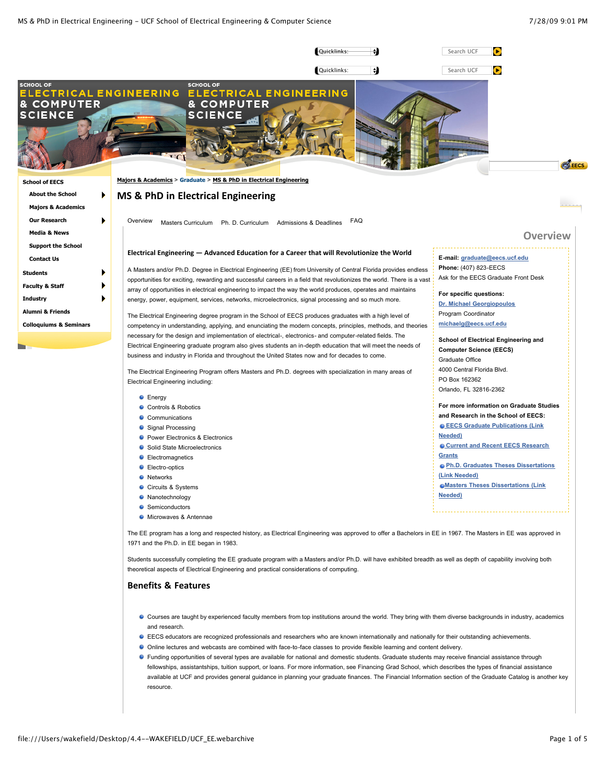

Students successfully completing the EE graduate program with a Masters and/or Ph.D. will have exhibited breadth as well as depth of capability involving both theoretical aspects of Electrical Engineering and practical considerations of computing.

# **Benefits
&
Features**

- Courses are taught by experienced faculty members from top institutions around the world. They bring with them diverse backgrounds in industry, academics and research.
- EECS educators are recognized professionals and researchers who are known internationally and nationally for their outstanding achievements.
- Online lectures and webcasts are combined with face-to-face classes to provide flexible learning and content delivery.
- Funding opportunities of several types are available for national and domestic students. Graduate students may receive financial assistance through fellowships, assistantships, tuition support, or loans. For more information, see Financing Grad School, which describes the types of financial assistance available at UCF and provides general guidance in planning your graduate finances. The Financial Information section of the Graduate Catalog is another key resource.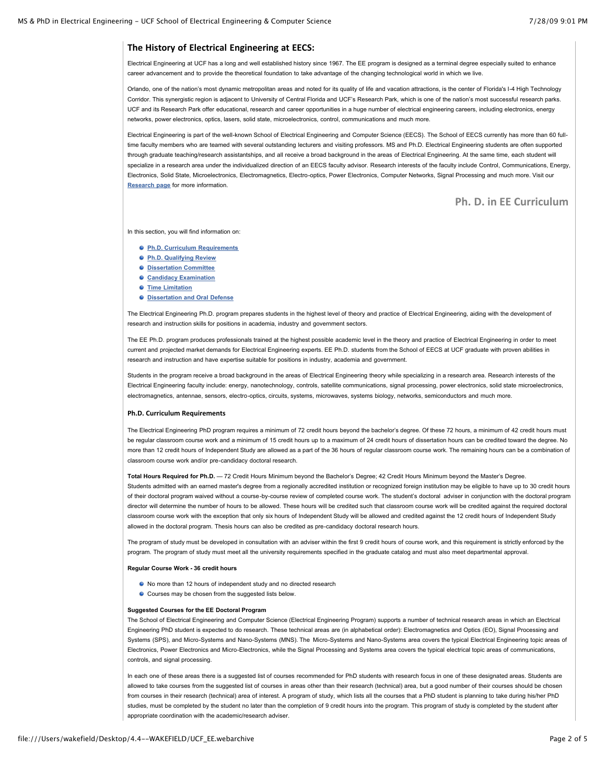# **The
History
of
Electrical
Engineering
at
EECS:**

Electrical Engineering at UCF has a long and well established history since 1967. The EE program is designed as a terminal degree especially suited to enhance career advancement and to provide the theoretical foundation to take advantage of the changing technological world in which we live.

Orlando, one of the nation's most dynamic metropolitan areas and noted for its quality of life and vacation attractions, is the center of Florida's I-4 High Technology Corridor. This synergistic region is adjacent to University of Central Florida and UCF's Research Park, which is one of the nation's most successful research parks. UCF and its Research Park offer educational, research and career opportunities in a huge number of electrical engineering careers, including electronics, energy networks, power electronics, optics, lasers, solid state, microelectronics, control, communications and much more.

Electrical Engineering is part of the well-known School of Electrical Engineering and Computer Science (EECS). The School of EECS currently has more than 60 fulltime faculty members who are teamed with several outstanding lecturers and visiting professors. MS and Ph.D. Electrical Engineering students are often supported through graduate teaching/research assistantships, and all receive a broad background in the areas of Electrical Engineering. At the same time, each student will specialize in a research area under the individualized direction of an EECS faculty advisor. Research interests of the faculty include Control, Communications, Energy, Electronics, Solid State, Microelectronics, Electromagnetics, Electro-optics, Power Electronics, Computer Networks, Signal Processing and much more. Visit our **[Research page](http://deveecs.crata.ucf.edu/LinkClick.aspx?link=239&tabid=225)** for more information.

# **Ph.
D.
in
EE
Curriculum**

In this section, you will find information on:

- **[Ph.D. Curriculum Requirements](http://web.eecs.ucf.edu/MajorsAcademics/Graduate/MSPhDinElectricalEngineering/tabid/225/Default.aspx#curriculum)**
- **[Ph.D. Qualifying Review](http://web.eecs.ucf.edu/MajorsAcademics/Graduate/MSPhDinElectricalEngineering/tabid/225/Default.aspx#review)**
- **[Dissertation Committee](http://web.eecs.ucf.edu/MajorsAcademics/Graduate/MSPhDinElectricalEngineering/tabid/225/Default.aspx#discommittee)**
- **[Candidacy Examination](http://web.eecs.ucf.edu/MajorsAcademics/Graduate/MSPhDinElectricalEngineering/tabid/225/Default.aspx#exam)**
- **[Time Limitation](http://web.eecs.ucf.edu/MajorsAcademics/Graduate/MSPhDinElectricalEngineering/tabid/225/Default.aspx#time)**
- **[Dissertation and Oral Defense](http://web.eecs.ucf.edu/MajorsAcademics/Graduate/MSPhDinElectricalEngineering/tabid/225/Default.aspx#disandoral)**

The Electrical Engineering Ph.D. program prepares students in the highest level of theory and practice of Electrical Engineering, aiding with the development of research and instruction skills for positions in academia, industry and government sectors.

The EE Ph.D. program produces professionals trained at the highest possible academic level in the theory and practice of Electrical Engineering in order to meet current and projected market demands for Electrical Engineering experts. EE Ph.D. students from the School of EECS at UCF graduate with proven abilities in research and instruction and have expertise suitable for positions in industry, academia and government.

Students in the program receive a broad background in the areas of Electrical Engineering theory while specializing in a research area. Research interests of the Electrical Engineering faculty include: energy, nanotechnology, controls, satellite communications, signal processing, power electronics, solid state microelectronics, electromagnetics, antennae, sensors, electro-optics, circuits, systems, microwaves, systems biology, networks, semiconductors and much more.

# **Ph.D.
Curriculum
Requirements**

The Electrical Engineering PhD program requires a minimum of 72 credit hours beyond the bachelor's degree. Of these 72 hours, a minimum of 42 credit hours must be regular classroom course work and a minimum of 15 credit hours up to a maximum of 24 credit hours of dissertation hours can be credited toward the degree. No more than 12 credit hours of Independent Study are allowed as a part of the 36 hours of regular classroom course work. The remaining hours can be a combination of classroom course work and/or pre-candidacy doctoral research.

**Total Hours Required for Ph.D.** — 72 Credit Hours Minimum beyond the Bachelor's Degree; 42 Credit Hours Minimum beyond the Master's Degree. Students admitted with an earned master's degree from a regionally accredited institution or recognized foreign institution may be eligible to have up to 30 credit hours of their doctoral program waived without a course-by-course review of completed course work. The student's doctoral adviser in conjunction with the doctoral program director will determine the number of hours to be allowed. These hours will be credited such that classroom course work will be credited against the required doctoral classroom course work with the exception that only six hours of Independent Study will be allowed and credited against the 12 credit hours of Independent Study allowed in the doctoral program. Thesis hours can also be credited as pre-candidacy doctoral research hours.

The program of study must be developed in consultation with an adviser within the first 9 credit hours of course work, and this requirement is strictly enforced by the program. The program of study must meet all the university requirements specified in the graduate catalog and must also meet departmental approval.

#### **Regular Course Work - 36 credit hours**

- No more than 12 hours of independent study and no directed research
- Courses may be chosen from the suggested lists below.

#### **Suggested Courses for the EE Doctoral Program**

The School of Electrical Engineering and Computer Science (Electrical Engineering Program) supports a number of technical research areas in which an Electrical Engineering PhD student is expected to do research. These technical areas are (in alphabetical order): Electromagnetics and Optics (EO), Signal Processing and Systems (SPS), and Micro-Systems and Nano-Systems (MNS). The Micro-Systems and Nano-Systems area covers the typical Electrical Engineering topic areas of Electronics, Power Electronics and Micro-Electronics, while the Signal Processing and Systems area covers the typical electrical topic areas of communications, controls, and signal processing.

In each one of these areas there is a suggested list of courses recommended for PhD students with research focus in one of these designated areas. Students are allowed to take courses from the suggested list of courses in areas other than their research (technical) area, but a good number of their courses should be chosen from courses in their research (technical) area of interest. A program of study, which lists all the courses that a PhD student is planning to take during his/her PhD studies, must be completed by the student no later than the completion of 9 credit hours into the program. This program of study is completed by the student after appropriate coordination with the academic/research adviser.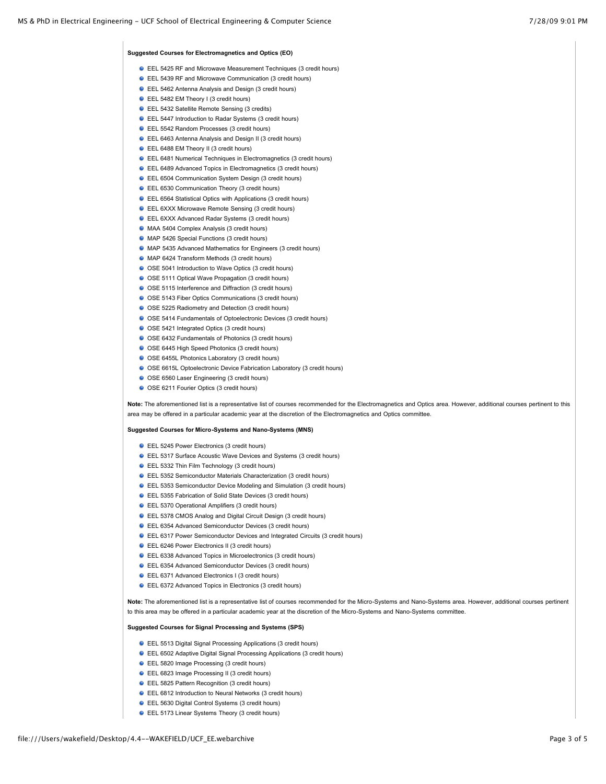## **Suggested Courses for Electromagnetics and Optics (EO)**

- EEL 5425 RF and Microwave Measurement Techniques (3 credit hours)
- EEL 5439 RF and Microwave Communication (3 credit hours)
- EEL 5462 Antenna Analysis and Design (3 credit hours)
- EEL 5482 EM Theory I (3 credit hours)
- **C** EEL 5432 Satellite Remote Sensing (3 credits)
- EEL 5447 Introduction to Radar Systems (3 credit hours)
- **C** EEL 5542 Random Processes (3 credit hours)
- EEL 6463 Antenna Analysis and Design II (3 credit hours)
- EEL 6488 EM Theory II (3 credit hours)
- EEL 6481 Numerical Techniques in Electromagnetics (3 credit hours)
- EEL 6489 Advanced Topics in Electromagnetics (3 credit hours)
- EEL 6504 Communication System Design (3 credit hours)
- **EEL 6530 Communication Theory (3 credit hours)**
- EEL 6564 Statistical Optics with Applications (3 credit hours)
- **EEL 6XXX Microwave Remote Sensing (3 credit hours)**
- **EEL 6XXX Advanced Radar Systems (3 credit hours)**
- MAA 5404 Complex Analysis (3 credit hours)
- MAP 5426 Special Functions (3 credit hours)
- MAP 5435 Advanced Mathematics for Engineers (3 credit hours)
- MAP 6424 Transform Methods (3 credit hours)
- O OSE 5041 Introduction to Wave Optics (3 credit hours)
- O OSE 5111 Optical Wave Propagation (3 credit hours)
- OSE 5115 Interference and Diffraction (3 credit hours)
- O OSE 5143 Fiber Optics Communications (3 credit hours)
- O OSE 5225 Radiometry and Detection (3 credit hours)
- OSE 5414 Fundamentals of Optoelectronic Devices (3 credit hours)
- O OSE 5421 Integrated Optics (3 credit hours)
- O OSE 6432 Fundamentals of Photonics (3 credit hours)
- O OSE 6445 High Speed Photonics (3 credit hours)
- O OSE 6455L Photonics Laboratory (3 credit hours)
- OSE 6615L Optoelectronic Device Fabrication Laboratory (3 credit hours)
- O OSE 6560 Laser Engineering (3 credit hours)
- O OSE 6211 Fourier Optics (3 credit hours)

Note: The aforementioned list is a representative list of courses recommended for the Electromagnetics and Optics area. However, additional courses pertinent to this area may be offered in a particular academic year at the discretion of the Electromagnetics and Optics committee.

#### **Suggested Courses for Micro-Systems and Nano-Systems (MNS)**

- EEL 5245 Power Electronics (3 credit hours)
- EEL 5317 Surface Acoustic Wave Devices and Systems (3 credit hours)
- EEL 5332 Thin Film Technology (3 credit hours)
- EEL 5352 Semiconductor Materials Characterization (3 credit hours)
- EEL 5353 Semiconductor Device Modeling and Simulation (3 credit hours)
- EEL 5355 Fabrication of Solid State Devices (3 credit hours)
- **C** EEL 5370 Operational Amplifiers (3 credit hours)
- EEL 5378 CMOS Analog and Digital Circuit Design (3 credit hours)
- EEL 6354 Advanced Semiconductor Devices (3 credit hours)
- EEL 6317 Power Semiconductor Devices and Integrated Circuits (3 credit hours)
- **EEL 6246 Power Electronics II (3 credit hours)**
- EEL 6338 Advanced Topics in Microelectronics (3 credit hours)
- EEL 6354 Advanced Semiconductor Devices (3 credit hours)
- EEL 6371 Advanced Electronics I (3 credit hours)
- EEL 6372 Advanced Topics in Electronics (3 credit hours)

Note: The aforementioned list is a representative list of courses recommended for the Micro-Systems and Nano-Systems area. However, additional courses pertinent to this area may be offered in a particular academic year at the discretion of the Micro-Systems and Nano-Systems committee

# **Suggested Courses for Signal Processing and Systems (SPS)**

- EEL 5513 Digital Signal Processing Applications (3 credit hours)
- EEL 6502 Adaptive Digital Signal Processing Applications (3 credit hours)
- EEL 5820 Image Processing (3 credit hours)
- EEL 6823 Image Processing II (3 credit hours)
- EEL 5825 Pattern Recognition (3 credit hours)
- EEL 6812 Introduction to Neural Networks (3 credit hours)
- EEL 5630 Digital Control Systems (3 credit hours)
- **EEL 5173 Linear Systems Theory (3 credit hours)**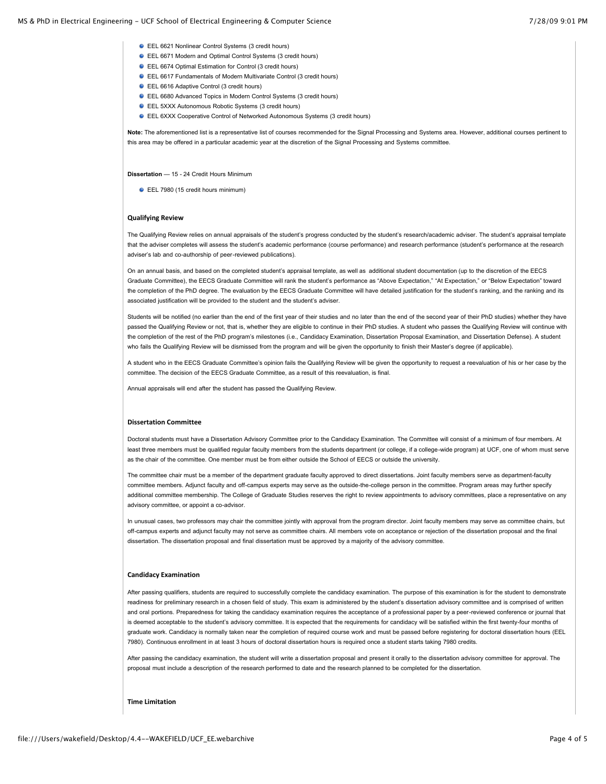### MS & PhD in Electrical Engineering - UCF School of Electrical Engineering & Computer Science 7/28/09 9:01 PM 7/28/09 9:01 PM

- EEL 6621 Nonlinear Control Systems (3 credit hours)
- EEL 6671 Modern and Optimal Control Systems (3 credit hours)
- EEL 6674 Optimal Estimation for Control (3 credit hours)
- EEL 6617 Fundamentals of Modern Multivariate Control (3 credit hours)
- EEL 6616 Adaptive Control (3 credit hours)
- EEL 6680 Advanced Topics in Modern Control Systems (3 credit hours)
- EEL 5XXX Autonomous Robotic Systems (3 credit hours)
- EEL 6XXX Cooperative Control of Networked Autonomous Systems (3 credit hours)

**Note:** The aforementioned list is a representative list of courses recommended for the Signal Processing and Systems area. However, additional courses pertinent to this area may be offered in a particular academic year at the discretion of the Signal Processing and Systems committee.

#### **Dissertation** — 15 - 24 Credit Hours Minimum

EEL 7980 (15 credit hours minimum)

### **Qualifying
Review**

The Qualifying Review relies on annual appraisals of the student's progress conducted by the student's research/academic adviser. The student's appraisal template that the adviser completes will assess the student's academic performance (course performance) and research performance (student's performance at the research adviser's lab and co-authorship of peer-reviewed publications).

On an annual basis, and based on the completed student's appraisal template, as well as additional student documentation (up to the discretion of the EECS Graduate Committee), the EECS Graduate Committee will rank the student's performance as "Above Expectation," "At Expectation," or "Below Expectation" toward the completion of the PhD degree. The evaluation by the EECS Graduate Committee will have detailed justification for the student's ranking, and the ranking and its associated justification will be provided to the student and the student's adviser.

Students will be notified (no earlier than the end of the first year of their studies and no later than the end of the second year of their PhD studies) whether they have passed the Qualifying Review or not, that is, whether they are eligible to continue in their PhD studies. A student who passes the Qualifying Review will continue with the completion of the rest of the PhD program's milestones (i.e., Candidacy Examination, Dissertation Proposal Examination, and Dissertation Defense). A student who fails the Qualifying Review will be dismissed from the program and will be given the opportunity to finish their Master's degree (if applicable).

A student who in the EECS Graduate Committee's opinion fails the Qualifying Review will be given the opportunity to request a reevaluation of his or her case by the committee. The decision of the EECS Graduate Committee, as a result of this reevaluation, is final.

Annual appraisals will end after the student has passed the Qualifying Review.

#### **Dissertation
Committee**

Doctoral students must have a Dissertation Advisory Committee prior to the Candidacy Examination. The Committee will consist of a minimum of four members. At least three members must be qualified regular faculty members from the students department (or college, if a college-wide program) at UCF, one of whom must serve as the chair of the committee. One member must be from either outside the School of EECS or outside the university.

The committee chair must be a member of the department graduate faculty approved to direct dissertations. Joint faculty members serve as department-faculty committee members. Adjunct faculty and off-campus experts may serve as the outside-the-college person in the committee. Program areas may further specify additional committee membership. The College of Graduate Studies reserves the right to review appointments to advisory committees, place a representative on any advisory committee, or appoint a co-advisor.

In unusual cases, two professors may chair the committee jointly with approval from the program director. Joint faculty members may serve as committee chairs, but off-campus experts and adjunct faculty may not serve as committee chairs. All members vote on acceptance or rejection of the dissertation proposal and the final dissertation. The dissertation proposal and final dissertation must be approved by a majority of the advisory committee.

#### **Candidacy
Examination**

After passing qualifiers, students are required to successfully complete the candidacy examination. The purpose of this examination is for the student to demonstrate readiness for preliminary research in a chosen field of study. This exam is administered by the student's dissertation advisory committee and is comprised of written and oral portions. Preparedness for taking the candidacy examination requires the acceptance of a professional paper by a peer-reviewed conference or journal that is deemed acceptable to the student's advisory committee. It is expected that the requirements for candidacy will be satisfied within the first twenty-four months of graduate work. Candidacy is normally taken near the completion of required course work and must be passed before registering for doctoral dissertation hours (EEL 7980). Continuous enrollment in at least 3 hours of doctoral dissertation hours is required once a student starts taking 7980 credits.

After passing the candidacy examination, the student will write a dissertation proposal and present it orally to the dissertation advisory committee for approval. The proposal must include a description of the research performed to date and the research planned to be completed for the dissertation.

# **Time
Limitation**